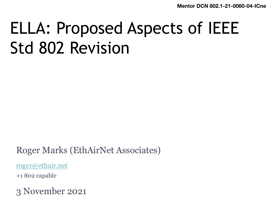**Mentor DCN 802.1-21** 

# ELLA: Proposed Aspects of IEE Std 802 Revision

Roger Marks (EthAirNet Associates)

roger@ethair.net

+1 802 capable

3 November 2021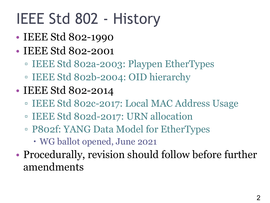# IEEE Std 802 - History

- IEEE Std 802-1990
- IEEE Std 802-2001
	- IEEE Std 802a-2003: Playpen EtherTypes
	- IEEE Std 802b-2004: OID hierarchy
- IEEE Std 802-2014
	- IEEE Std 802c-2017: Local MAC Address Usage
	- IEEE Std 802d-2017: URN allocation
	- P802f: YANG Data Model for EtherTypes
		- WG ballot opened, June 2021
- Procedurally, revision should follow before further amendments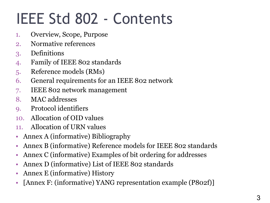# IEEE Std 802 - Contents

- 1. Overview, Scope, Purpose
- 2. Normative references
- 3. Definitions
- 4. Family of IEEE 802 standards
- 5. Reference models (RMs)
- 6. General requirements for an IEEE 802 network
- 7. IEEE 802 network management
- 8. MAC addresses
- 9. Protocol identifiers
- 10. Allocation of OID values
- 11. Allocation of URN values
- Annex A (informative) Bibliography
- Annex B (informative) Reference models for IEEE 802 standards
- Annex C (informative) Examples of bit ordering for addresses
- Annex D (informative) List of IEEE 802 standards
- Annex E (informative) History
- [Annex F: (informative) YANG representation example (P802f)]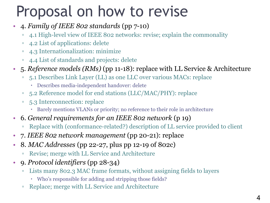# Proposal on how to revise

- 4. *Family of IEEE 802 standards* (pp 7-10)
	- 4.1 High-level view of IEEE 802 networks: revise; explain the commonality
	- 4.2 List of applications: delete
	- 4.3 Internationalization: minimize
	- 4.4 List of standards and projects: delete
- 5. *Reference models (RMs)* (pp 11-18): replace with LL Service & Architecture
	- 5.1 Describes Link Layer (LL) as one LLC over various MACs: replace
		- Describes media-independent handover: delete
	- 5.2 Reference model for end stations (LLC/MAC/PHY): replace
	- 5.3 Interconnection: replace
		- Barely mentions VLANs or priority; no reference to their role in architecture
- 6. *General requirements for an IEEE 802 network* (p 19)
	- Replace with (conformance-related?) description of LL service provided to client
- 7. *IEEE 802 network management* (pp 20-21): replace
- 8. *MAC Addresses* (pp 22-27, plus pp 12-19 of 802c)
	- Revise; merge with LL Service and Architecture
- 9. *Protocol identifiers* (pp 28-34)
	- Lists many 802.3 MAC frame formats, without assigning fields to layers
		- Who's responsible for adding and stripping those fields?
	- Replace; merge with LL Service and Architecture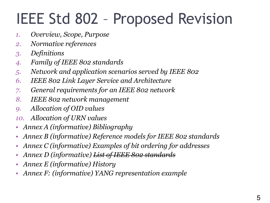# IEEE Std 802 – Proposed Revision

- *1. Overview, Scope, Purpose*
- *2. Normative references*
- *3. Definitions*
- *4. Family of IEEE 802 standards*
- *5. Network and application scenarios served by IEEE 802*
- *6. IEEE 802 Link Layer Service and Architecture*
- *7. General requirements for an IEEE 802 network*
- *8. IEEE 802 network management*
- *9. Allocation of OID values*
- *10. Allocation of URN values*
- *Annex A (informative) Bibliography*
- *Annex B (informative) Reference models for IEEE 802 standards*
- *Annex C (informative) Examples of bit ordering for addresses*
- *Annex D (informative) List of IEEE 802 standards*
- *Annex E (informative) History*
- *Annex F: (informative) YANG representation example*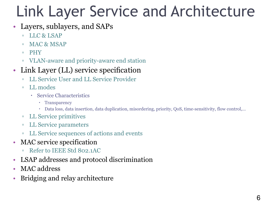# Link Layer Service and Architecture

- Layers, sublayers, and SAPs
	- LLC & LSAP
	- MAC & MSAP
	- PHY
	- VLAN-aware and priority-aware end station

#### • Link Layer (LL) service specification

- LL Service User and LL Service Provider
- LL modes
	- Service Characteristics
		- Transparency
		- Data loss, data insertion, data duplication, misordering, priority, QoS, time-sensitivity, flow control,…
- LL Service primitives
- LL Service parameters
- LL Service sequences of actions and events
- MAC service specification
	- Refer to IEEE Std 802.1AC
- LSAP addresses and protocol discrimination
- MAC address
- Bridging and relay architecture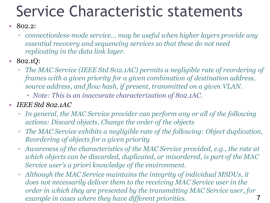# Service Characteristic statements

#### • 802.2:

- *connectionless-mode service… may be useful when higher layers provide any essential recovery and sequencing services so that these do not need replicating in the data link layer.*
- 802.1Q:
	- *The MAC Service (IEEE Std 802.1AC) permits a negligible rate of reordering of frames with a given priority for a given combination of destination address, source address, and flow hash, if present, transmitted on a given VLAN.* 
		- *Note: This is an inaccurate characterization of 802.1AC.*
- *IEEE Std 802.1AC*
	- *In general, the MAC Service provider can perform any or all of the following actions: Discard objects, Change the order of the objects*
	- *The MAC Service exhibits a negligible rate of the following: Object duplication, Reordering of objects for a given priority*
	- *Awareness of the characteristics of the MAC Service provided, e.g., the rate at which objects can be discarded, duplicated, or misordered, is part of the MAC Service user's a priori knowledge of the environment.*
	- 7 ▫ *Although the MAC Service maintains the integrity of individual MSDUs, it does not necessarily deliver them to the receiving MAC Service user in the order in which they are presented by the transmitting MAC Service user, for example in cases where they have different priorities.*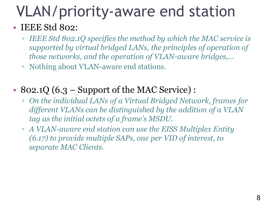# VLAN/priority-aware end station

#### • IEEE Std 802:

- *IEEE Std 802.1Q specifies the method by which the MAC service is supported by virtual bridged LANs, the principles of operation of those networks, and the operation of VLAN-aware bridges,…*
- Nothing about VLAN-aware end stations.
- 802.1Q  $(6.3 -$  Support of the MAC Service) :
	- *On the individual LANs of a Virtual Bridged Network, frames for different VLANs can be distinguished by the addition of a VLAN tag as the initial octets of a frame's MSDU.*
	- *A VLAN-aware end station can use the EISS Multiplex Entity (6.17) to provide multiple SAPs, one per VID of interest, to separate MAC Clients.*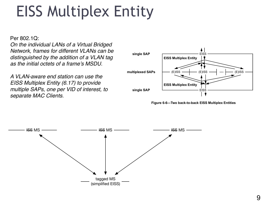#### EISS Multiplex Entity <sup>9</sup> Bridges and end stations, and thereby affecting the frame forwarding behavior of the Bridges and end stations with regard to multiples with regard to multiples with the second to multiples with the second to multiples with the second term in the second term in the second term in the second term in the second term in the s  $N$  is supported, the Eissued Filtering Service primitives issued by the MAC Service user showledge by the MAC Service user showledge by the MAC Service user showledge by the MAC Service user showledge by the MAC Service also include a VID parameter in order to identify the VLAN associated with the MACADO REQUIREMENT\_SPECIFICATION specified. 1 2 7

Per 802.1Q:

*On the individual LANs of a Virtual Bridged Network, frames for different VLANs can be distinguished by the addition of a VLAN tag as the initial octets of a frame's MSDU.*

*A VLAN-aware end station can use the EISS Multiplex Entity (6.17) to provide multiple SAPs, one per VID of interest, to separate MAC Clients.*



Figure 6-6—Two back-to-back EISS Multiplex Entities

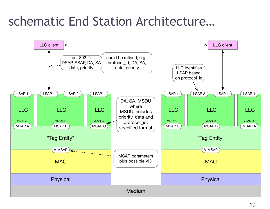### schematic End Station Architecture…

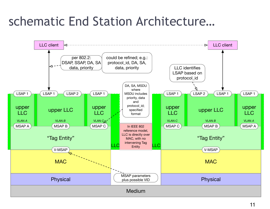### schematic End Station Architecture…

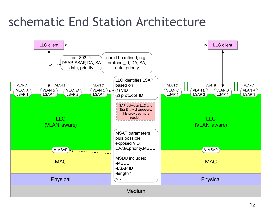### schematic End Station Architecture

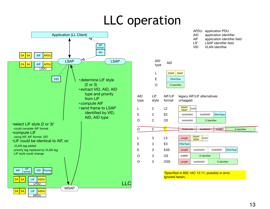## LLC operation

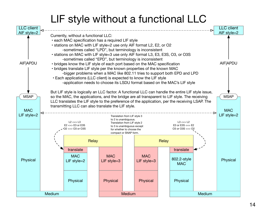#### LIF style without a functional LLC

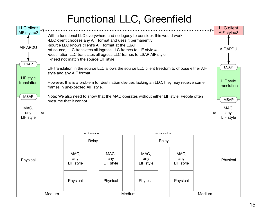#### Functional LLC, Greenfield

| <b>LLC</b> client                       | ◁                                                                                                                                                                                                                                                                                                                                                                                     |                                                                                                                                                                                                                                                         |                          |                          |                          |        | <b>LLC</b> client<br>AIF style=3 |  |  |  |  |  |
|-----------------------------------------|---------------------------------------------------------------------------------------------------------------------------------------------------------------------------------------------------------------------------------------------------------------------------------------------------------------------------------------------------------------------------------------|---------------------------------------------------------------------------------------------------------------------------------------------------------------------------------------------------------------------------------------------------------|--------------------------|--------------------------|--------------------------|--------|----------------------------------|--|--|--|--|--|
| AIF style=2<br>AIF APDU                 | With a functional LLC everywhere and no legacy to consider, this would work:<br>.LLC client chooses any AIF format and uses it permanently<br>*source LLC knows client's AIF format at the LSAP<br>• at source, LLC translates all ingress LLC frames to LIF style = 1<br>•destination LLC translates all egress LLC frames to LSAP AIF style<br>-need not match the source LIF style |                                                                                                                                                                                                                                                         |                          |                          |                          |        |                                  |  |  |  |  |  |
| <b>LSAP</b><br>LIF style<br>translation |                                                                                                                                                                                                                                                                                                                                                                                       | LIF translation in the source LLC allows the source LLC client freedom to choose either AIF<br>style and any AIF format.<br>However, this is a problem for destination devices lacking an LLC; they may receive some<br>frames in unexpected AIF style. |                          |                          |                          |        |                                  |  |  |  |  |  |
| <b>MSAP</b><br>MAC,<br>any<br>LIF style | Note: We also need to show that the MAC operates without either LIF style. People often<br>presume that it cannot.                                                                                                                                                                                                                                                                    |                                                                                                                                                                                                                                                         |                          |                          |                          |        |                                  |  |  |  |  |  |
|                                         |                                                                                                                                                                                                                                                                                                                                                                                       | no translation                                                                                                                                                                                                                                          |                          |                          | no translation           |        |                                  |  |  |  |  |  |
|                                         |                                                                                                                                                                                                                                                                                                                                                                                       | Relay                                                                                                                                                                                                                                                   |                          |                          | Relay                    |        |                                  |  |  |  |  |  |
| Physical                                |                                                                                                                                                                                                                                                                                                                                                                                       | MAC,<br>any<br>LIF style                                                                                                                                                                                                                                | MAC,<br>any<br>LIF style | MAC,<br>any<br>LIF style | MAC,<br>any<br>LIF style |        | Physical                         |  |  |  |  |  |
|                                         |                                                                                                                                                                                                                                                                                                                                                                                       | Physical                                                                                                                                                                                                                                                | Physical                 | Physical                 | Physical                 |        |                                  |  |  |  |  |  |
|                                         | Medium                                                                                                                                                                                                                                                                                                                                                                                |                                                                                                                                                                                                                                                         |                          | Medium                   |                          | Medium |                                  |  |  |  |  |  |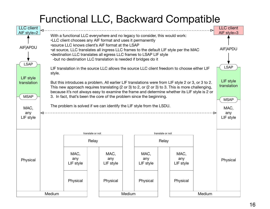#### Functional LLC, Backward Compatible

| <b>LLC</b> client                                                                  |                                                                                                                                                                                                                                                                                                                                                                                                                                                                                                                                                                    |                                                                                                                      |                  |  |          | <b>LLC</b> client<br>AIF style=3 |  |  |  |  |  |
|------------------------------------------------------------------------------------|--------------------------------------------------------------------------------------------------------------------------------------------------------------------------------------------------------------------------------------------------------------------------------------------------------------------------------------------------------------------------------------------------------------------------------------------------------------------------------------------------------------------------------------------------------------------|----------------------------------------------------------------------------------------------------------------------|------------------|--|----------|----------------------------------|--|--|--|--|--|
| AIF style=2<br><b>AIF APDU</b>                                                     | With a functional LLC everywhere and no legacy to consider, this would work:<br>.LLC client chooses any AIF format and uses it permanently<br>*source LLC knows client's AIF format at the LSAP<br>•at source, LLC translates all ingress LLC frames to the default LIF style per the MAC<br>•destination LLC translates all egress LLC frames to LSAP LIF style<br>-but no destination LLC translation is needed if bridges do it                                                                                                                                 |                                                                                                                      |                  |  |          |                                  |  |  |  |  |  |
| <b>LSAP</b><br>LIF style<br>translation<br><b>MSAP</b><br>MAC,<br>any<br>LIF style | LIF translation in the source LLC allows the source LLC client freedom to choose either LIF<br>style.<br>But this introduces a problem. All earlier LIF translations were from LIF style 2 or 3, or 3 to 2.<br>This new approach requires translating (2 or 3) to 2, or (2 or 3) to 3. This is more challenging,<br>because it's not always easy to examine the frame and determine whether its LIF style is 2 or<br>3. In fact, that's been the core of the problem since the beginning.<br>The problem is solved if we can identify the LIF style from the LSDU. |                                                                                                                      |                  |  |          |                                  |  |  |  |  |  |
|                                                                                    | translate or not                                                                                                                                                                                                                                                                                                                                                                                                                                                                                                                                                   |                                                                                                                      | translate or not |  |          |                                  |  |  |  |  |  |
|                                                                                    | Relay                                                                                                                                                                                                                                                                                                                                                                                                                                                                                                                                                              |                                                                                                                      | Relay            |  |          |                                  |  |  |  |  |  |
| Physical                                                                           | MAC,<br>any<br>LIF style<br>Physical                                                                                                                                                                                                                                                                                                                                                                                                                                                                                                                               | MAC,<br>MAC,<br>MAC,<br>any<br>any<br>any<br>LIF style<br>LIF style<br>LIF style<br>Physical<br>Physical<br>Physical |                  |  | Physical |                                  |  |  |  |  |  |
|                                                                                    | Medium                                                                                                                                                                                                                                                                                                                                                                                                                                                                                                                                                             | Medium                                                                                                               | Medium           |  |          |                                  |  |  |  |  |  |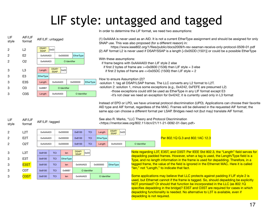# LIF style: untagged and tagged



AIF/LIF: tagged

AIF/LIF format

LIF style

3 3

3

3 3

In order to determine the LIF format, we need two assumptions:

(1) 0xAAAA is never used as an AID. It is not a current EtherType assignment and should be assigned for only SNAP use. This was also proposed (for a different reason) in:

https://www.ieee802.org/1/files/public/docs2009/h-rev-seaman-receive-only-protocol-0509-01.pdf (2) AIF format L2 is never used if DSAP/SSAP is a length [<0x05DD (1501)] or could be a possible EtherType

With these assumptions:

if frame begins with 0xAAAA03 then LIF style 2 else

if first 2 bytes of frame are  $>=0x0600$  (1536) then LIF style  $=$  3 else

if first 2 bytes of frame are  $\leq$  0x05DC (1500) then LIF style = 2

How to ensure Assumption (2)?

-solution 1: tag all DSAP/LSAP frames. The LLC converts any L2 format to L2T. -solution 2: solution 1, minus some exceptions (e.g., 0x4242, 0xFEFE are presumed L2) -those exceptions could still be used as EtherType in any LIF format except E3 -it's not clear we need an exception for 0x4242; it is currently used only in L3 format

Instead of EPD or LPD, we have universal protocol discrimination (UPD). Applications can choose their favorite AID type and AIF format, regardless of the MAC. Frames will be delivered in the requested AIF format; the same app can choose a different format per LSAP. Bridges need not (but may) translate AIF format.

See also R. Marks, "LLC Theory and Protocol Discrimination <https://mentor.ieee.org/802.11/dcn/21/11-21-0092-01-0arc.pdf>

| L2T              | 0xAAAA03 | 0x000000 | 0x8100       | <b>TCI</b> | Length           | DSAP/<br>0x03<br><b>SSAP</b> |                |                                                                                                                                                                               |                           |  |
|------------------|----------|----------|--------------|------------|------------------|------------------------------|----------------|-------------------------------------------------------------------------------------------------------------------------------------------------------------------------------|---------------------------|--|
| E <sub>2</sub> T | 0xAAAA03 | 0x000000 | 0x8100       | <b>TCI</b> | <b>EtherType</b> |                              |                | Per 802.1Q G.3 and 802.1AC 12.3                                                                                                                                               |                           |  |
| O2T              | 0xAAAA03 | 0x000000 | 0x8100       | <b>TCI</b> | Lenath           | 0xAAAA03                     | O Identifier   |                                                                                                                                                                               |                           |  |
|                  |          |          | $P^{\prime}$ |            |                  |                              | <b>Barbara</b> | $\mathbf{u}$ $\mathbf{v}$ $\mathbf{v}$ $\mathbf{v}$ $\mathbf{v}$ $\mathbf{v}$ $\mathbf{v}$ $\mathbf{v}$ $\mathbf{v}$ $\mathbf{v}$ $\mathbf{v}$<br>$\sim$ $\sim$ $\sim$ $\sim$ | $F = F = 2 \cdot 1222222$ |  |

| L3T               | 0x8100 | <b>TCI</b> | len              | DSAP/<br><b>SSAP</b> | $\log_{10}$ |          |              |                  |
|-------------------|--------|------------|------------------|----------------------|-------------|----------|--------------|------------------|
| E <sub>3</sub> T  | 0x8100 | <b>TCI</b> | <b>EtherType</b> |                      |             |          |              |                  |
| E <sub>3</sub> ST | 0x8100 | <b>TCI</b> | len              | 0xAAAA03             |             | 0x000000 |              | <b>EtherType</b> |
| O3T               | 0x8100 | <b>TCI</b> | 0x88B7           | O Identifier         |             |          |              |                  |
| O <sub>3</sub> ST | 0x8100 | <b>TCI</b> | len              | 0xAAAA03             |             |          | O Identifier |                  |

Note regarding L3T, E3ST, and O3ST: Per IEEE Std 802.3, the "Length" field serves for depadding padded frames. However, when a tag is used, the Length/Type field is a Type, and no length information in the frame is used for depadding. Therefore, in a tagged frame, the value of the field is ignored in the Ethernet MAC. Here it is called "len," not "Length," to indicate that fact.

Some applications may believe that LLC protects against padding if LIF style 2 is used, but Ethernet cannot if the frame is tagged. So, should depadding be explicitly NOT promised? Or should that function be incorporated in the LLC (as 802.1Q specifies depadding in the bridge)? E3ST and O3ST are required for cases in which depadding functionality is needed. No alternative to L3T is available, even if depadding is not required.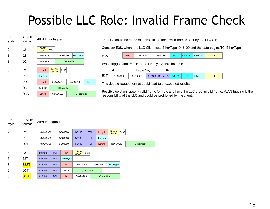## Possible LLC Role: Invalid Frame Check

| LIF<br>style | AIF/LIF<br>format | AIF/LIF: untagged    |              |                              |          |                  |          |  |                  |  |
|--------------|-------------------|----------------------|--------------|------------------------------|----------|------------------|----------|--|------------------|--|
| 2            | L <sub>2</sub>    | DSAP/<br><b>SSAP</b> | 0x03         |                              |          |                  |          |  |                  |  |
| 2            | E <sub>2</sub>    | 0xAAAA03             | 0x000000     |                              |          | <b>EtherType</b> |          |  |                  |  |
| 2            | O <sub>2</sub>    | 0xAAAA03             | O Identifier |                              |          |                  |          |  |                  |  |
|              |                   |                      |              |                              |          |                  |          |  |                  |  |
| 3            | L3                | Length               |              | DSAP/<br>0x03<br><b>SSAP</b> |          |                  |          |  |                  |  |
| 3            | E3                | <b>EtherType</b>     |              |                              |          |                  |          |  |                  |  |
| 3            | E <sub>3</sub> S  | Length               |              |                              | 0xAAAA03 |                  | 0x000000 |  | <b>EtherType</b> |  |
| 3            | O3                | 0x88B7               |              | O Identifier                 |          |                  |          |  |                  |  |
| 3            | O3S               | Length               |              | 0xAAAA03                     |          | O Identifier     |          |  |                  |  |

 $\overline{L}$   $\overline{L}$   $\overline{L}$   $\overline{L}$   $\overline{L}$   $\overline{L}$   $\overline{L}$   $\overline{L}$   $\overline{L}$   $\overline{L}$   $\overline{L}$   $\overline{L}$   $\overline{L}$   $\overline{L}$   $\overline{L}$   $\overline{L}$   $\overline{L}$   $\overline{L}$   $\overline{L}$   $\overline{L}$   $\overline{L}$   $\overline{L}$   $\overline{L}$   $\overline{L}$   $\overline{$ 

The LLC could be made responsible to filter invalid frames sent by the LLC Client.

Consider E3S, where the LLC Client sets EtherType=0x8100 and the data begins TCI|EtherType

| E <sub>3</sub> S | Lenath | 0xAAAA03 | 0x000000 |  |  | 0x8100   Client TCI   EtherType | data |
|------------------|--------|----------|----------|--|--|---------------------------------|------|
|------------------|--------|----------|----------|--|--|---------------------------------|------|

When tagged and translated to LIF style 2, this becomes:



This double-tagged format could lead to unexpected results.

Possible solution: specify valid frame formats and have the LLC drop invalid frame. VLAN tagging is the responsibility of the LLC and could be prohibited by the client.

| LIF<br>style   | AIF/LIF<br>format | AIF/LIF: tagged |            |          |                  |                      |              |            |        |                  |                      |      |              |
|----------------|-------------------|-----------------|------------|----------|------------------|----------------------|--------------|------------|--------|------------------|----------------------|------|--------------|
| $\overline{2}$ | L <sub>2</sub> T  | 0xAAAA03        |            | 0x000000 |                  | 0x8100               |              | <b>TCI</b> |        | Length           | DSAP/<br><b>SSAP</b> | 0x03 |              |
| $\overline{2}$ | E <sub>2</sub> T  |                 | 0xAAAA03   |          | 0x000000         | 0x8100               |              | <b>TCI</b> |        | <b>EtherType</b> |                      |      |              |
| $\overline{2}$ | O <sub>2</sub> T  | 0xAAAA03        |            | 0x000000 |                  | 0x8100               | <b>TCI</b>   |            | Length |                  | 0xAAAA03             |      | O Identifier |
|                |                   |                 |            |          |                  |                      |              |            |        |                  |                      |      |              |
| 3              | L <sub>3</sub> T  | 0x8100          | <b>TCI</b> |          | len              | DSAP/<br><b>SSAP</b> | 0x03         |            |        |                  |                      |      |              |
| 3              | E <sub>3</sub> T  | 0x8100          | <b>TCI</b> |          | <b>EtherType</b> |                      |              |            |        |                  |                      |      |              |
| 3              | E <sub>3</sub> ST | 0x8100          | <b>TCI</b> |          | len              | 0xAAAA03             |              | 0x000000   |        | <b>EtherType</b> |                      |      |              |
| 3              | O <sub>3</sub> T  | 0x8100          | <b>TCI</b> |          | 0x88B7           |                      | O Identifier |            |        |                  |                      |      |              |
| 3              | O <sub>3</sub> ST | 0x8100          | <b>TCI</b> |          | len              | 0xAAAA03             |              |            |        | O Identifier     |                      |      |              |